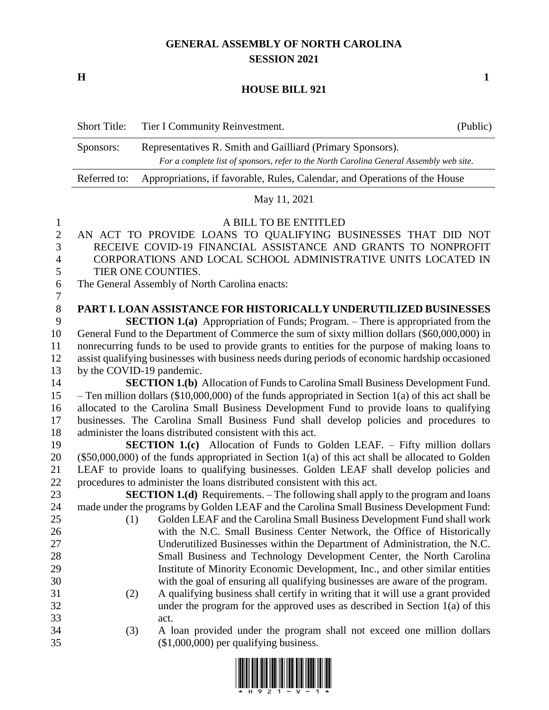## **GENERAL ASSEMBLY OF NORTH CAROLINA SESSION 2021**

**H 1**

## **HOUSE BILL 921**

|                                                         | <b>Short Title:</b>                                                                                                                                                                                                                                                                                                                                      | Tier I Community Reinvestment.                                                                                                                                                                                                                                                                                      | (Public) |  |  |  |
|---------------------------------------------------------|----------------------------------------------------------------------------------------------------------------------------------------------------------------------------------------------------------------------------------------------------------------------------------------------------------------------------------------------------------|---------------------------------------------------------------------------------------------------------------------------------------------------------------------------------------------------------------------------------------------------------------------------------------------------------------------|----------|--|--|--|
|                                                         | Sponsors:                                                                                                                                                                                                                                                                                                                                                | For a complete list of sponsors, refer to the North Carolina General Assembly web site.                                                                                                                                                                                                                             |          |  |  |  |
|                                                         | Referred to:                                                                                                                                                                                                                                                                                                                                             | Appropriations, if favorable, Rules, Calendar, and Operations of the House                                                                                                                                                                                                                                          |          |  |  |  |
|                                                         |                                                                                                                                                                                                                                                                                                                                                          | May 11, 2021                                                                                                                                                                                                                                                                                                        |          |  |  |  |
| $\mathbf{1}$<br>$\overline{2}$<br>3<br>4<br>5<br>6<br>7 | A BILL TO BE ENTITLED<br>AN ACT TO PROVIDE LOANS TO QUALIFYING BUSINESSES THAT DID NOT<br>RECEIVE COVID-19 FINANCIAL ASSISTANCE AND GRANTS TO NONPROFIT<br>CORPORATIONS AND LOCAL SCHOOL ADMINISTRATIVE UNITS LOCATED IN<br>TIER ONE COUNTIES.<br>The General Assembly of North Carolina enacts:                                                         |                                                                                                                                                                                                                                                                                                                     |          |  |  |  |
| $8\,$<br>9<br>10                                        |                                                                                                                                                                                                                                                                                                                                                          | PART I. LOAN ASSISTANCE FOR HISTORICALLY UNDERUTILIZED BUSINESSES<br><b>SECTION 1.(a)</b> Appropriation of Funds; Program. – There is appropriated from the<br>General Fund to the Department of Commerce the sum of sixty million dollars (\$60,000,000) in                                                        |          |  |  |  |
| 11<br>12<br>13                                          | nonrecurring funds to be used to provide grants to entities for the purpose of making loans to<br>assist qualifying businesses with business needs during periods of economic hardship occasioned<br>by the COVID-19 pandemic.                                                                                                                           |                                                                                                                                                                                                                                                                                                                     |          |  |  |  |
| 14                                                      |                                                                                                                                                                                                                                                                                                                                                          | <b>SECTION 1.(b)</b> Allocation of Funds to Carolina Small Business Development Fund.                                                                                                                                                                                                                               |          |  |  |  |
| 15<br>16<br>17<br>18                                    | - Ten million dollars (\$10,000,000) of the funds appropriated in Section $1(a)$ of this act shall be<br>allocated to the Carolina Small Business Development Fund to provide loans to qualifying<br>businesses. The Carolina Small Business Fund shall develop policies and procedures to<br>administer the loans distributed consistent with this act. |                                                                                                                                                                                                                                                                                                                     |          |  |  |  |
| 19<br>20<br>21                                          | <b>SECTION 1.(c)</b> Allocation of Funds to Golden LEAF. – Fifty million dollars<br>$(\$50,000,000)$ of the funds appropriated in Section 1(a) of this act shall be allocated to Golden<br>LEAF to provide loans to qualifying businesses. Golden LEAF shall develop policies and                                                                        |                                                                                                                                                                                                                                                                                                                     |          |  |  |  |
| 22<br>23                                                | procedures to administer the loans distributed consistent with this act.<br><b>SECTION 1.(d)</b> Requirements. – The following shall apply to the program and loans                                                                                                                                                                                      |                                                                                                                                                                                                                                                                                                                     |          |  |  |  |
| 24<br>25<br>26                                          | (1)                                                                                                                                                                                                                                                                                                                                                      | made under the programs by Golden LEAF and the Carolina Small Business Development Fund:<br>Golden LEAF and the Carolina Small Business Development Fund shall work<br>with the N.C. Small Business Center Network, the Office of Historically                                                                      |          |  |  |  |
| 27<br>28<br>29<br>30                                    |                                                                                                                                                                                                                                                                                                                                                          | Underutilized Businesses within the Department of Administration, the N.C.<br>Small Business and Technology Development Center, the North Carolina<br>Institute of Minority Economic Development, Inc., and other similar entities<br>with the goal of ensuring all qualifying businesses are aware of the program. |          |  |  |  |
| 31<br>32<br>33                                          | (2)                                                                                                                                                                                                                                                                                                                                                      | A qualifying business shall certify in writing that it will use a grant provided<br>under the program for the approved uses as described in Section $1(a)$ of this<br>act.                                                                                                                                          |          |  |  |  |
| 34<br>35                                                | (3)                                                                                                                                                                                                                                                                                                                                                      | A loan provided under the program shall not exceed one million dollars<br>$($1,000,000)$ per qualifying business.                                                                                                                                                                                                   |          |  |  |  |

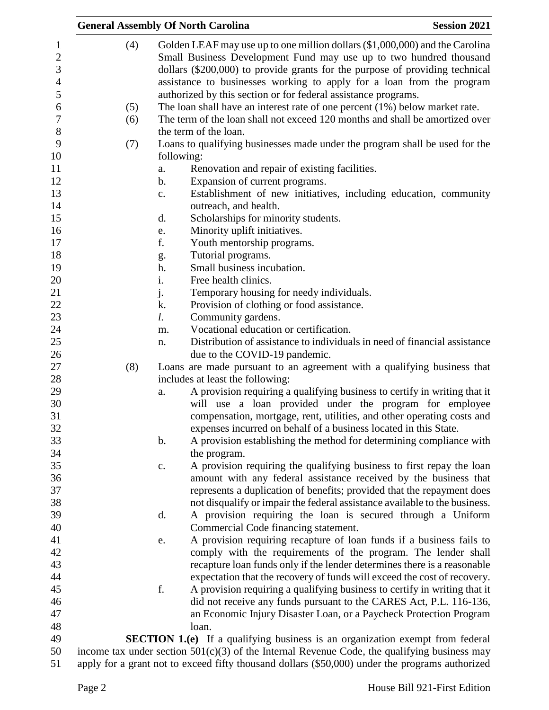|     | <b>General Assembly Of North Carolina</b><br><b>Session 2021</b>                                                                                                                                                                                                                                                                                                                                                                                                                                                                                                                                                                                                                                                                                                                                                                                                                                                                                                                                                                                                                                                                                                                                                                                                 |
|-----|------------------------------------------------------------------------------------------------------------------------------------------------------------------------------------------------------------------------------------------------------------------------------------------------------------------------------------------------------------------------------------------------------------------------------------------------------------------------------------------------------------------------------------------------------------------------------------------------------------------------------------------------------------------------------------------------------------------------------------------------------------------------------------------------------------------------------------------------------------------------------------------------------------------------------------------------------------------------------------------------------------------------------------------------------------------------------------------------------------------------------------------------------------------------------------------------------------------------------------------------------------------|
| (4) | Golden LEAF may use up to one million dollars (\$1,000,000) and the Carolina<br>Small Business Development Fund may use up to two hundred thousand                                                                                                                                                                                                                                                                                                                                                                                                                                                                                                                                                                                                                                                                                                                                                                                                                                                                                                                                                                                                                                                                                                               |
|     | dollars (\$200,000) to provide grants for the purpose of providing technical                                                                                                                                                                                                                                                                                                                                                                                                                                                                                                                                                                                                                                                                                                                                                                                                                                                                                                                                                                                                                                                                                                                                                                                     |
|     | assistance to businesses working to apply for a loan from the program                                                                                                                                                                                                                                                                                                                                                                                                                                                                                                                                                                                                                                                                                                                                                                                                                                                                                                                                                                                                                                                                                                                                                                                            |
|     | authorized by this section or for federal assistance programs.                                                                                                                                                                                                                                                                                                                                                                                                                                                                                                                                                                                                                                                                                                                                                                                                                                                                                                                                                                                                                                                                                                                                                                                                   |
| (5) | The loan shall have an interest rate of one percent $(1%)$ below market rate.                                                                                                                                                                                                                                                                                                                                                                                                                                                                                                                                                                                                                                                                                                                                                                                                                                                                                                                                                                                                                                                                                                                                                                                    |
| (6) | The term of the loan shall not exceed 120 months and shall be amortized over                                                                                                                                                                                                                                                                                                                                                                                                                                                                                                                                                                                                                                                                                                                                                                                                                                                                                                                                                                                                                                                                                                                                                                                     |
|     | the term of the loan.                                                                                                                                                                                                                                                                                                                                                                                                                                                                                                                                                                                                                                                                                                                                                                                                                                                                                                                                                                                                                                                                                                                                                                                                                                            |
| (7) | Loans to qualifying businesses made under the program shall be used for the                                                                                                                                                                                                                                                                                                                                                                                                                                                                                                                                                                                                                                                                                                                                                                                                                                                                                                                                                                                                                                                                                                                                                                                      |
|     | following:                                                                                                                                                                                                                                                                                                                                                                                                                                                                                                                                                                                                                                                                                                                                                                                                                                                                                                                                                                                                                                                                                                                                                                                                                                                       |
|     | Renovation and repair of existing facilities.<br>a.                                                                                                                                                                                                                                                                                                                                                                                                                                                                                                                                                                                                                                                                                                                                                                                                                                                                                                                                                                                                                                                                                                                                                                                                              |
|     | Expansion of current programs.<br>$\mathbf b$ .                                                                                                                                                                                                                                                                                                                                                                                                                                                                                                                                                                                                                                                                                                                                                                                                                                                                                                                                                                                                                                                                                                                                                                                                                  |
|     | Establishment of new initiatives, including education, community<br>c.                                                                                                                                                                                                                                                                                                                                                                                                                                                                                                                                                                                                                                                                                                                                                                                                                                                                                                                                                                                                                                                                                                                                                                                           |
|     | outreach, and health.                                                                                                                                                                                                                                                                                                                                                                                                                                                                                                                                                                                                                                                                                                                                                                                                                                                                                                                                                                                                                                                                                                                                                                                                                                            |
|     | Scholarships for minority students.<br>d.                                                                                                                                                                                                                                                                                                                                                                                                                                                                                                                                                                                                                                                                                                                                                                                                                                                                                                                                                                                                                                                                                                                                                                                                                        |
|     | Minority uplift initiatives.<br>e.                                                                                                                                                                                                                                                                                                                                                                                                                                                                                                                                                                                                                                                                                                                                                                                                                                                                                                                                                                                                                                                                                                                                                                                                                               |
|     | f.<br>Youth mentorship programs.                                                                                                                                                                                                                                                                                                                                                                                                                                                                                                                                                                                                                                                                                                                                                                                                                                                                                                                                                                                                                                                                                                                                                                                                                                 |
|     | Tutorial programs.                                                                                                                                                                                                                                                                                                                                                                                                                                                                                                                                                                                                                                                                                                                                                                                                                                                                                                                                                                                                                                                                                                                                                                                                                                               |
|     | g.<br>Small business incubation.<br>h.                                                                                                                                                                                                                                                                                                                                                                                                                                                                                                                                                                                                                                                                                                                                                                                                                                                                                                                                                                                                                                                                                                                                                                                                                           |
|     | Free health clinics.<br>i.                                                                                                                                                                                                                                                                                                                                                                                                                                                                                                                                                                                                                                                                                                                                                                                                                                                                                                                                                                                                                                                                                                                                                                                                                                       |
|     | Temporary housing for needy individuals.                                                                                                                                                                                                                                                                                                                                                                                                                                                                                                                                                                                                                                                                                                                                                                                                                                                                                                                                                                                                                                                                                                                                                                                                                         |
|     | j.<br>k.<br>Provision of clothing or food assistance.                                                                                                                                                                                                                                                                                                                                                                                                                                                                                                                                                                                                                                                                                                                                                                                                                                                                                                                                                                                                                                                                                                                                                                                                            |
|     | Community gardens.<br>l.                                                                                                                                                                                                                                                                                                                                                                                                                                                                                                                                                                                                                                                                                                                                                                                                                                                                                                                                                                                                                                                                                                                                                                                                                                         |
|     | Vocational education or certification.<br>m.                                                                                                                                                                                                                                                                                                                                                                                                                                                                                                                                                                                                                                                                                                                                                                                                                                                                                                                                                                                                                                                                                                                                                                                                                     |
|     | Distribution of assistance to individuals in need of financial assistance<br>n.                                                                                                                                                                                                                                                                                                                                                                                                                                                                                                                                                                                                                                                                                                                                                                                                                                                                                                                                                                                                                                                                                                                                                                                  |
|     | due to the COVID-19 pandemic.                                                                                                                                                                                                                                                                                                                                                                                                                                                                                                                                                                                                                                                                                                                                                                                                                                                                                                                                                                                                                                                                                                                                                                                                                                    |
| (8) | Loans are made pursuant to an agreement with a qualifying business that                                                                                                                                                                                                                                                                                                                                                                                                                                                                                                                                                                                                                                                                                                                                                                                                                                                                                                                                                                                                                                                                                                                                                                                          |
|     | includes at least the following:                                                                                                                                                                                                                                                                                                                                                                                                                                                                                                                                                                                                                                                                                                                                                                                                                                                                                                                                                                                                                                                                                                                                                                                                                                 |
|     | A provision requiring a qualifying business to certify in writing that it<br>a.                                                                                                                                                                                                                                                                                                                                                                                                                                                                                                                                                                                                                                                                                                                                                                                                                                                                                                                                                                                                                                                                                                                                                                                  |
|     | will use a loan provided under the program for employee                                                                                                                                                                                                                                                                                                                                                                                                                                                                                                                                                                                                                                                                                                                                                                                                                                                                                                                                                                                                                                                                                                                                                                                                          |
|     | compensation, mortgage, rent, utilities, and other operating costs and                                                                                                                                                                                                                                                                                                                                                                                                                                                                                                                                                                                                                                                                                                                                                                                                                                                                                                                                                                                                                                                                                                                                                                                           |
|     | expenses incurred on behalf of a business located in this State.                                                                                                                                                                                                                                                                                                                                                                                                                                                                                                                                                                                                                                                                                                                                                                                                                                                                                                                                                                                                                                                                                                                                                                                                 |
|     | A provision establishing the method for determining compliance with<br>$\mathbf b$ .                                                                                                                                                                                                                                                                                                                                                                                                                                                                                                                                                                                                                                                                                                                                                                                                                                                                                                                                                                                                                                                                                                                                                                             |
|     | the program.                                                                                                                                                                                                                                                                                                                                                                                                                                                                                                                                                                                                                                                                                                                                                                                                                                                                                                                                                                                                                                                                                                                                                                                                                                                     |
|     |                                                                                                                                                                                                                                                                                                                                                                                                                                                                                                                                                                                                                                                                                                                                                                                                                                                                                                                                                                                                                                                                                                                                                                                                                                                                  |
|     |                                                                                                                                                                                                                                                                                                                                                                                                                                                                                                                                                                                                                                                                                                                                                                                                                                                                                                                                                                                                                                                                                                                                                                                                                                                                  |
|     |                                                                                                                                                                                                                                                                                                                                                                                                                                                                                                                                                                                                                                                                                                                                                                                                                                                                                                                                                                                                                                                                                                                                                                                                                                                                  |
|     |                                                                                                                                                                                                                                                                                                                                                                                                                                                                                                                                                                                                                                                                                                                                                                                                                                                                                                                                                                                                                                                                                                                                                                                                                                                                  |
|     |                                                                                                                                                                                                                                                                                                                                                                                                                                                                                                                                                                                                                                                                                                                                                                                                                                                                                                                                                                                                                                                                                                                                                                                                                                                                  |
|     |                                                                                                                                                                                                                                                                                                                                                                                                                                                                                                                                                                                                                                                                                                                                                                                                                                                                                                                                                                                                                                                                                                                                                                                                                                                                  |
|     |                                                                                                                                                                                                                                                                                                                                                                                                                                                                                                                                                                                                                                                                                                                                                                                                                                                                                                                                                                                                                                                                                                                                                                                                                                                                  |
|     |                                                                                                                                                                                                                                                                                                                                                                                                                                                                                                                                                                                                                                                                                                                                                                                                                                                                                                                                                                                                                                                                                                                                                                                                                                                                  |
|     |                                                                                                                                                                                                                                                                                                                                                                                                                                                                                                                                                                                                                                                                                                                                                                                                                                                                                                                                                                                                                                                                                                                                                                                                                                                                  |
|     |                                                                                                                                                                                                                                                                                                                                                                                                                                                                                                                                                                                                                                                                                                                                                                                                                                                                                                                                                                                                                                                                                                                                                                                                                                                                  |
|     |                                                                                                                                                                                                                                                                                                                                                                                                                                                                                                                                                                                                                                                                                                                                                                                                                                                                                                                                                                                                                                                                                                                                                                                                                                                                  |
|     |                                                                                                                                                                                                                                                                                                                                                                                                                                                                                                                                                                                                                                                                                                                                                                                                                                                                                                                                                                                                                                                                                                                                                                                                                                                                  |
|     |                                                                                                                                                                                                                                                                                                                                                                                                                                                                                                                                                                                                                                                                                                                                                                                                                                                                                                                                                                                                                                                                                                                                                                                                                                                                  |
|     |                                                                                                                                                                                                                                                                                                                                                                                                                                                                                                                                                                                                                                                                                                                                                                                                                                                                                                                                                                                                                                                                                                                                                                                                                                                                  |
|     |                                                                                                                                                                                                                                                                                                                                                                                                                                                                                                                                                                                                                                                                                                                                                                                                                                                                                                                                                                                                                                                                                                                                                                                                                                                                  |
|     |                                                                                                                                                                                                                                                                                                                                                                                                                                                                                                                                                                                                                                                                                                                                                                                                                                                                                                                                                                                                                                                                                                                                                                                                                                                                  |
|     |                                                                                                                                                                                                                                                                                                                                                                                                                                                                                                                                                                                                                                                                                                                                                                                                                                                                                                                                                                                                                                                                                                                                                                                                                                                                  |
|     | A provision requiring the qualifying business to first repay the loan<br>c.<br>amount with any federal assistance received by the business that<br>represents a duplication of benefits; provided that the repayment does<br>not disqualify or impair the federal assistance available to the business.<br>A provision requiring the loan is secured through a Uniform<br>d.<br>Commercial Code financing statement.<br>A provision requiring recapture of loan funds if a business fails to<br>e.<br>comply with the requirements of the program. The lender shall<br>recapture loan funds only if the lender determines there is a reasonable<br>expectation that the recovery of funds will exceed the cost of recovery.<br>f.<br>A provision requiring a qualifying business to certify in writing that it<br>did not receive any funds pursuant to the CARES Act, P.L. 116-136,<br>an Economic Injury Disaster Loan, or a Paycheck Protection Program<br>loan.<br><b>SECTION 1.(e)</b> If a qualifying business is an organization exempt from federal<br>income tax under section $501(c)(3)$ of the Internal Revenue Code, the qualifying business may<br>apply for a grant not to exceed fifty thousand dollars (\$50,000) under the programs authorized |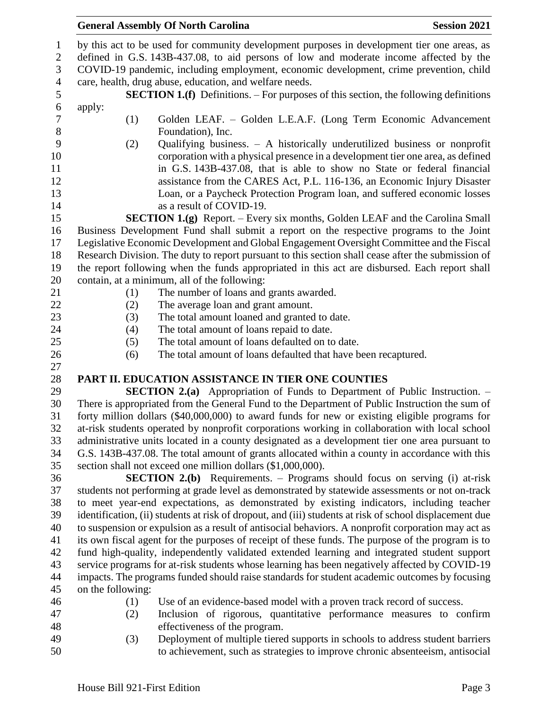## **General Assembly Of North Carolina Session 2021**

| $\mathbf{1}$     | by this act to be used for community development purposes in development tier one areas, as             |     |                                                                                                    |  |  |  |
|------------------|---------------------------------------------------------------------------------------------------------|-----|----------------------------------------------------------------------------------------------------|--|--|--|
| $\overline{c}$   | defined in G.S. 143B-437.08, to aid persons of low and moderate income affected by the                  |     |                                                                                                    |  |  |  |
| 3                | COVID-19 pandemic, including employment, economic development, crime prevention, child                  |     |                                                                                                    |  |  |  |
| $\overline{4}$   |                                                                                                         |     | care, health, drug abuse, education, and welfare needs.                                            |  |  |  |
| 5                |                                                                                                         |     | <b>SECTION 1.(f)</b> Definitions. – For purposes of this section, the following definitions        |  |  |  |
| $\boldsymbol{6}$ | apply:                                                                                                  |     |                                                                                                    |  |  |  |
| $\boldsymbol{7}$ |                                                                                                         | (1) | Golden LEAF. - Golden L.E.A.F. (Long Term Economic Advancement                                     |  |  |  |
| $8\,$            |                                                                                                         |     | Foundation), Inc.                                                                                  |  |  |  |
| 9                |                                                                                                         | (2) | Qualifying business. $-$ A historically underutilized business or nonprofit                        |  |  |  |
| 10               |                                                                                                         |     | corporation with a physical presence in a development tier one area, as defined                    |  |  |  |
| 11               |                                                                                                         |     | in G.S. 143B-437.08, that is able to show no State or federal financial                            |  |  |  |
| 12               |                                                                                                         |     | assistance from the CARES Act, P.L. 116-136, an Economic Injury Disaster                           |  |  |  |
| 13               |                                                                                                         |     | Loan, or a Paycheck Protection Program loan, and suffered economic losses                          |  |  |  |
| 14               |                                                                                                         |     | as a result of COVID-19.                                                                           |  |  |  |
| 15               |                                                                                                         |     | <b>SECTION 1.(g)</b> Report. – Every six months, Golden LEAF and the Carolina Small                |  |  |  |
| 16               |                                                                                                         |     | Business Development Fund shall submit a report on the respective programs to the Joint            |  |  |  |
| 17               |                                                                                                         |     | Legislative Economic Development and Global Engagement Oversight Committee and the Fiscal          |  |  |  |
| 18               |                                                                                                         |     | Research Division. The duty to report pursuant to this section shall cease after the submission of |  |  |  |
| 19               |                                                                                                         |     | the report following when the funds appropriated in this act are disbursed. Each report shall      |  |  |  |
| 20               |                                                                                                         |     | contain, at a minimum, all of the following:                                                       |  |  |  |
| 21               |                                                                                                         | (1) | The number of loans and grants awarded.                                                            |  |  |  |
| 22               |                                                                                                         | (2) | The average loan and grant amount.                                                                 |  |  |  |
| 23               |                                                                                                         | (3) | The total amount loaned and granted to date.                                                       |  |  |  |
| 24               |                                                                                                         | (4) | The total amount of loans repaid to date.                                                          |  |  |  |
| 25               |                                                                                                         | (5) | The total amount of loans defaulted on to date.                                                    |  |  |  |
| 26               |                                                                                                         | (6) | The total amount of loans defaulted that have been recaptured.                                     |  |  |  |
| 27               |                                                                                                         |     |                                                                                                    |  |  |  |
| 28               |                                                                                                         |     | PART II. EDUCATION ASSISTANCE IN TIER ONE COUNTIES                                                 |  |  |  |
| 29               |                                                                                                         |     | <b>SECTION 2.(a)</b> Appropriation of Funds to Department of Public Instruction. –                 |  |  |  |
| 30               | There is appropriated from the General Fund to the Department of Public Instruction the sum of          |     |                                                                                                    |  |  |  |
| 31               | forty million dollars (\$40,000,000) to award funds for new or existing eligible programs for           |     |                                                                                                    |  |  |  |
| 32               | at-risk students operated by nonprofit corporations working in collaboration with local school          |     |                                                                                                    |  |  |  |
| 33               | administrative units located in a county designated as a development tier one area pursuant to          |     |                                                                                                    |  |  |  |
| 34               | G.S. 143B-437.08. The total amount of grants allocated within a county in accordance with this          |     |                                                                                                    |  |  |  |
| 35               |                                                                                                         |     | section shall not exceed one million dollars (\$1,000,000).                                        |  |  |  |
| 36               |                                                                                                         |     | <b>SECTION 2.(b)</b> Requirements. – Programs should focus on serving (i) at-risk                  |  |  |  |
| 37               |                                                                                                         |     | students not performing at grade level as demonstrated by statewide assessments or not on-track    |  |  |  |
| 38               | to meet year-end expectations, as demonstrated by existing indicators, including teacher                |     |                                                                                                    |  |  |  |
| 39               | identification, (ii) students at risk of dropout, and (iii) students at risk of school displacement due |     |                                                                                                    |  |  |  |
| 40               | to suspension or expulsion as a result of antisocial behaviors. A nonprofit corporation may act as      |     |                                                                                                    |  |  |  |
| 41               | its own fiscal agent for the purposes of receipt of these funds. The purpose of the program is to       |     |                                                                                                    |  |  |  |
| 42               | fund high-quality, independently validated extended learning and integrated student support             |     |                                                                                                    |  |  |  |
| 43               | service programs for at-risk students whose learning has been negatively affected by COVID-19           |     |                                                                                                    |  |  |  |
| 44               | impacts. The programs funded should raise standards for student academic outcomes by focusing           |     |                                                                                                    |  |  |  |
| 45               | on the following:                                                                                       |     |                                                                                                    |  |  |  |
| 46               |                                                                                                         | (1) | Use of an evidence-based model with a proven track record of success.                              |  |  |  |
| 47               |                                                                                                         | (2) | Inclusion of rigorous, quantitative performance measures to confirm                                |  |  |  |
| 48               |                                                                                                         |     | effectiveness of the program.                                                                      |  |  |  |
| 49               |                                                                                                         | (3) | Deployment of multiple tiered supports in schools to address student barriers                      |  |  |  |

to achievement, such as strategies to improve chronic absenteeism, antisocial